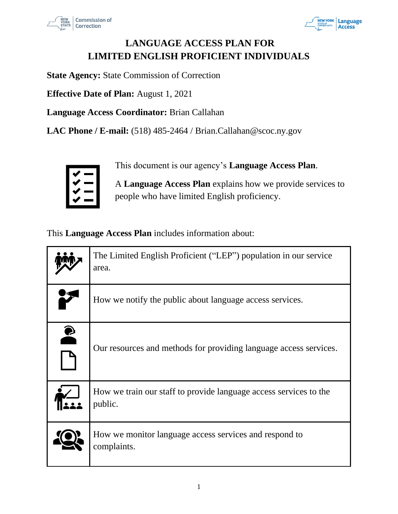



# **LANGUAGE ACCESS PLAN FOR LIMITED ENGLISH PROFICIENT INDIVIDUALS**

**State Agency:** State Commission of Correction

**Effective Date of Plan:** August 1, 2021

**Language Access Coordinator:** Brian Callahan

**LAC Phone / E-mail:** (518) 485-2464 / Brian.Callahan@scoc.ny.gov



This document is our agency's **Language Access Plan**.

A **Language Access Plan** explains how we provide services to people who have limited English proficiency.

This **Language Access Plan** includes information about:

|          | The Limited English Proficient ("LEP") population in our service<br>area.    |
|----------|------------------------------------------------------------------------------|
|          | How we notify the public about language access services.                     |
| <b>P</b> | Our resources and methods for providing language access services.            |
|          | How we train our staff to provide language access services to the<br>public. |
|          | How we monitor language access services and respond to<br>complaints.        |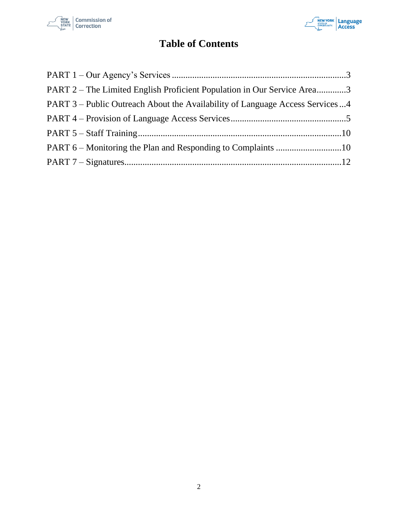



# **Table of Contents**

| PART 2 – The Limited English Proficient Population in Our Service Area3      |  |
|------------------------------------------------------------------------------|--|
| PART 3 – Public Outreach About the Availability of Language Access Services4 |  |
|                                                                              |  |
|                                                                              |  |
|                                                                              |  |
|                                                                              |  |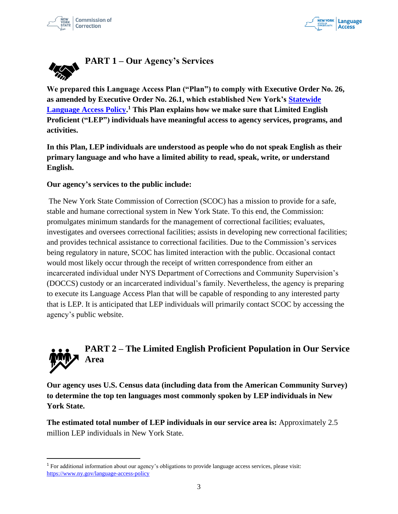



<span id="page-2-0"></span>

**We prepared this Language Access Plan ("Plan") to comply with Executive Order No. 26, as amended by Executive Order No. 26.1, which established New York's Statewide Language Access Policy. <sup>1</sup> This Plan explains how we make sure that Limited English Proficient ("LEP") individuals have meaningful access to agency services, programs, and activities.**

**In this Plan, LEP individuals are understood as people who do not speak English as their primary language and who have a limited ability to read, speak, write, or understand English.** 

#### **Our agency's services to the public include:**

The New York State Commission of Correction (SCOC) has a mission to provide for a safe, stable and humane correctional system in New York State. To this end, the Commission: promulgates minimum standards for the management of correctional facilities; evaluates, investigates and oversees correctional facilities; assists in developing new correctional facilities; and provides technical assistance to correctional facilities. Due to the Commission's services being regulatory in nature, SCOC has limited interaction with the public. Occasional contact would most likely occur through the receipt of written correspondence from either an incarcerated individual under NYS Department of Corrections and Community Supervision's (DOCCS) custody or an incarcerated individual's family. Nevertheless, the agency is preparing to execute its Language Access Plan that will be capable of responding to any interested party that is LEP. It is anticipated that LEP individuals will primarily contact SCOC by accessing the agency's public website.

# <span id="page-2-1"></span>**PART 2 – The Limited English Proficient Population in Our Service Area**

**Our agency uses U.S. Census data (including data from the American Community Survey) to determine the top ten languages most commonly spoken by LEP individuals in New York State.** 

**The estimated total number of LEP individuals in our service area is:** Approximately 2.5 million LEP individuals in New York State.

<sup>1</sup> For additional information about our agency's obligations to provide language access services, please visit: https://www.ny.gov/language-access-policy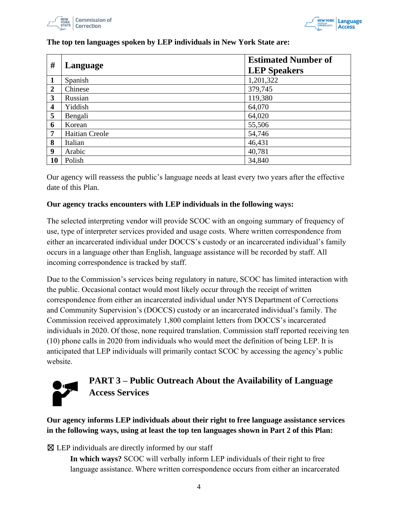



| #                       | Language       | <b>Estimated Number of</b><br><b>LEP Speakers</b> |
|-------------------------|----------------|---------------------------------------------------|
| 1                       | Spanish        | 1,201,322                                         |
| $\overline{2}$          | Chinese        | 379,745                                           |
| $\mathbf{3}$            | Russian        | 119,380                                           |
| $\overline{\mathbf{4}}$ | Yiddish        | 64,070                                            |
| 5                       | Bengali        | 64,020                                            |
| 6                       | Korean         | 55,506                                            |
| 7                       | Haitian Creole | 54,746                                            |
| 8                       | Italian        | 46,431                                            |
| 9                       | Arabic         | 40,781                                            |
| 10                      | Polish         | 34,840                                            |

### **The top ten languages spoken by LEP individuals in New York State are:**

Our agency will reassess the public's language needs at least every two years after the effective date of this Plan.

#### **Our agency tracks encounters with LEP individuals in the following ways:**

The selected interpreting vendor will provide SCOC with an ongoing summary of frequency of use, type of interpreter services provided and usage costs. Where written correspondence from either an incarcerated individual under DOCCS's custody or an incarcerated individual's family occurs in a language other than English, language assistance will be recorded by staff. All incoming correspondence is tracked by staff.

Due to the Commission's services being regulatory in nature, SCOC has limited interaction with the public. Occasional contact would most likely occur through the receipt of written correspondence from either an incarcerated individual under NYS Department of Corrections and Community Supervision's (DOCCS) custody or an incarcerated individual's family. The Commission received approximately 1,800 complaint letters from DOCCS's incarcerated individuals in 2020. Of those, none required translation. Commission staff reported receiving ten (10) phone calls in 2020 from individuals who would meet the definition of being LEP. It is anticipated that LEP individuals will primarily contact SCOC by accessing the agency's public website.



# <span id="page-3-0"></span>**PART 3 – Public Outreach About the Availability of Language Access Services**

**Our agency informs LEP individuals about their right to free language assistance services in the following ways, using at least the top ten languages shown in Part 2 of this Plan:**

 $\boxtimes$  LEP individuals are directly informed by our staff

**In which ways?** SCOC will verbally inform LEP individuals of their right to free language assistance. Where written correspondence occurs from either an incarcerated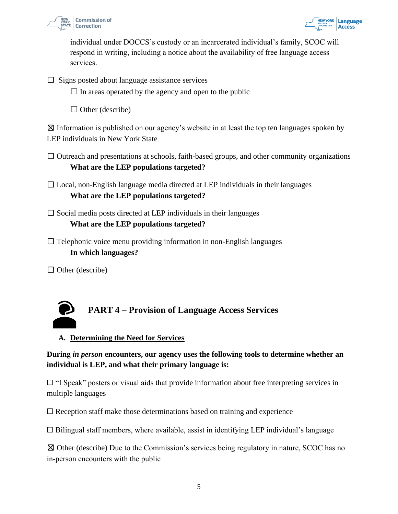



individual under DOCCS's custody or an incarcerated individual's family, SCOC will respond in writing, including a notice about the availability of free language access services.

 $\Box$  Signs posted about language assistance services

 $\Box$  In areas operated by the agency and open to the public

 $\Box$  Other (describe)

 $\boxtimes$  Information is published on our agency's website in at least the top ten languages spoken by LEP individuals in New York State

- $\Box$  Outreach and presentations at schools, faith-based groups, and other community organizations **What are the LEP populations targeted?**
- $\Box$  Local, non-English language media directed at LEP individuals in their languages **What are the LEP populations targeted?**
- $\Box$  Social media posts directed at LEP individuals in their languages **What are the LEP populations targeted?**
- $\Box$  Telephonic voice menu providing information in non-English languages **In which languages?**

 $\Box$  Other (describe)

<span id="page-4-0"></span>

### **A. Determining the Need for Services**

**During** *in person* **encounters, our agency uses the following tools to determine whether an individual is LEP, and what their primary language is:**

 $\Box$  "I Speak" posters or visual aids that provide information about free interpreting services in multiple languages

 $\Box$  Reception staff make those determinations based on training and experience

 $\Box$  Bilingual staff members, where available, assist in identifying LEP individual's language

☒ Other (describe) Due to the Commission's services being regulatory in nature, SCOC has no in-person encounters with the public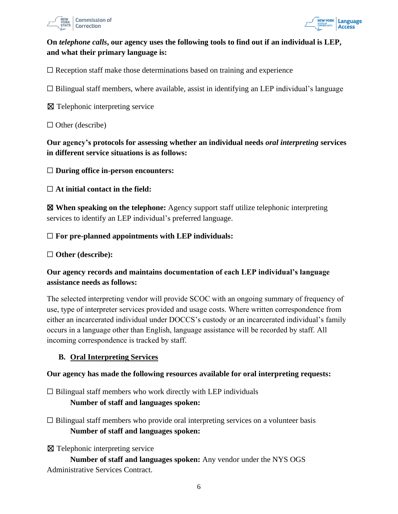



# **On** *telephone calls***, our agency uses the following tools to find out if an individual is LEP, and what their primary language is:**

 $\Box$  Reception staff make those determinations based on training and experience

 $\Box$  Bilingual staff members, where available, assist in identifying an LEP individual's language

☒ Telephonic interpreting service

 $\Box$  Other (describe)

**Our agency's protocols for assessing whether an individual needs** *oral interpreting* **services in different service situations is as follows:**

☐ **During office in-person encounters:**

☐ **At initial contact in the field:**

☒ **When speaking on the telephone:** Agency support staff utilize telephonic interpreting services to identify an LEP individual's preferred language.

#### ☐ **For pre-planned appointments with LEP individuals:**

☐ **Other (describe):**

# **Our agency records and maintains documentation of each LEP individual's language assistance needs as follows:**

The selected interpreting vendor will provide SCOC with an ongoing summary of frequency of use, type of interpreter services provided and usage costs. Where written correspondence from either an incarcerated individual under DOCCS's custody or an incarcerated individual's family occurs in a language other than English, language assistance will be recorded by staff. All incoming correspondence is tracked by staff.

### **B. Oral Interpreting Services**

#### **Our agency has made the following resources available for oral interpreting requests:**

 $\Box$  Bilingual staff members who work directly with LEP individuals **Number of staff and languages spoken:**

- $\Box$  Bilingual staff members who provide oral interpreting services on a volunteer basis **Number of staff and languages spoken:**
- ⊠ Telephonic interpreting service

**Number of staff and languages spoken:** Any vendor under the NYS OGS Administrative Services Contract.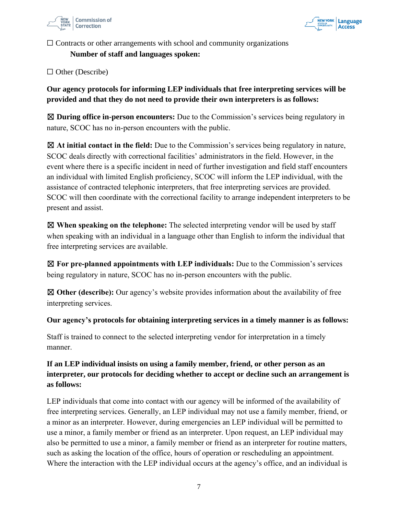



 $\Box$  Contracts or other arrangements with school and community organizations

**Number of staff and languages spoken:**

□ Other (Describe)

**Our agency protocols for informing LEP individuals that free interpreting services will be provided and that they do not need to provide their own interpreters is as follows:**

☒ **During office in-person encounters:** Due to the Commission's services being regulatory in nature, SCOC has no in-person encounters with the public.

☒ **At initial contact in the field:** Due to the Commission's services being regulatory in nature, SCOC deals directly with correctional facilities' administrators in the field. However, in the event where there is a specific incident in need of further investigation and field staff encounters an individual with limited English proficiency, SCOC will inform the LEP individual, with the assistance of contracted telephonic interpreters, that free interpreting services are provided. SCOC will then coordinate with the correctional facility to arrange independent interpreters to be present and assist.

☒ **When speaking on the telephone:** The selected interpreting vendor will be used by staff when speaking with an individual in a language other than English to inform the individual that free interpreting services are available.

☒ **For pre-planned appointments with LEP individuals:** Due to the Commission's services being regulatory in nature, SCOC has no in-person encounters with the public.

☒ **Other (describe):** Our agency's website provides information about the availability of free interpreting services.

**Our agency's protocols for obtaining interpreting services in a timely manner is as follows:**

Staff is trained to connect to the selected interpreting vendor for interpretation in a timely manner.

# **If an LEP individual insists on using a family member, friend, or other person as an interpreter, our protocols for deciding whether to accept or decline such an arrangement is as follows:**

LEP individuals that come into contact with our agency will be informed of the availability of free interpreting services. Generally, an LEP individual may not use a family member, friend, or a minor as an interpreter. However, during emergencies an LEP individual will be permitted to use a minor, a family member or friend as an interpreter. Upon request, an LEP individual may also be permitted to use a minor, a family member or friend as an interpreter for routine matters, such as asking the location of the office, hours of operation or rescheduling an appointment. Where the interaction with the LEP individual occurs at the agency's office, and an individual is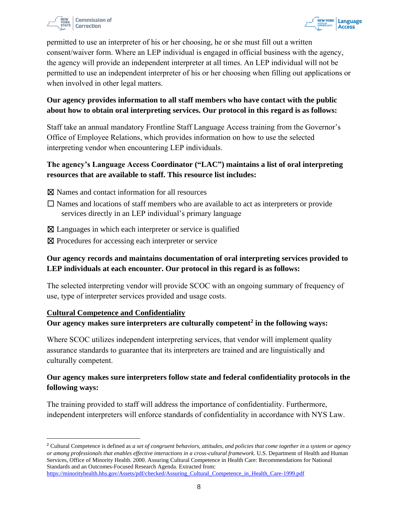



permitted to use an interpreter of his or her choosing, he or she must fill out a written consent/waiver form. Where an LEP individual is engaged in official business with the agency, the agency will provide an independent interpreter at all times. An LEP individual will not be permitted to use an independent interpreter of his or her choosing when filling out applications or when involved in other legal matters.

# **Our agency provides information to all staff members who have contact with the public about how to obtain oral interpreting services. Our protocol in this regard is as follows:**

Staff take an annual mandatory Frontline Staff Language Access training from the Governor's Office of Employee Relations, which provides information on how to use the selected interpreting vendor when encountering LEP individuals.

# **The agency's Language Access Coordinator ("LAC") maintains a list of oral interpreting resources that are available to staff. This resource list includes:**

- ☒ Names and contact information for all resources
- $\Box$  Names and locations of staff members who are available to act as interpreters or provide services directly in an LEP individual's primary language
- ⊠ Languages in which each interpreter or service is qualified
- ⊠ Procedures for accessing each interpreter or service

# **Our agency records and maintains documentation of oral interpreting services provided to LEP individuals at each encounter. Our protocol in this regard is as follows:**

The selected interpreting vendor will provide SCOC with an ongoing summary of frequency of use, type of interpreter services provided and usage costs.

### **Cultural Competence and Confidentiality**

#### **Our agency makes sure interpreters are culturally competent<sup>2</sup> in the following ways:**

Where SCOC utilizes independent interpreting services, that vendor will implement quality assurance standards to guarantee that its interpreters are trained and are linguistically and culturally competent.

# **Our agency makes sure interpreters follow state and federal confidentiality protocols in the following ways:**

The training provided to staff will address the importance of confidentiality. Furthermore, independent interpreters will enforce standards of confidentiality in accordance with NYS Law.

<sup>2</sup> Cultural Competence is defined as *a set of congruent behaviors, attitudes, and policies that come together in a system or agency or among professionals that enables effective interactions in a cross-cultural framework.* U.S. Department of Health and Human Services, Office of Minority Health. 2000. Assuring Cultural Competence in Health Care: Recommendations for National Standards and an Outcomes-Focused Research Agenda. Extracted from:

https://minorityhealth.hhs.gov/Assets/pdf/checked/Assuring\_Cultural\_Competence\_in\_Health\_Care-1999.pdf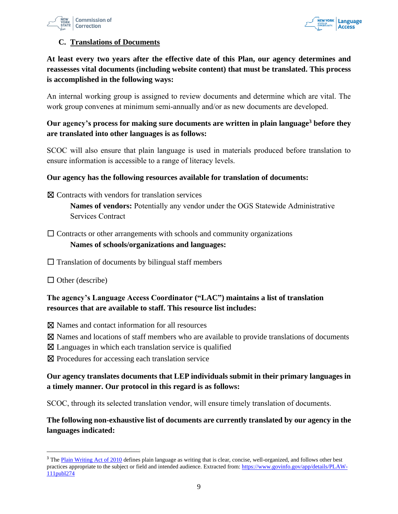



#### **C. Translations of Documents**

**At least every two years after the effective date of this Plan, our agency determines and reassesses vital documents (including website content) that must be translated. This process is accomplished in the following ways:**

An internal working group is assigned to review documents and determine which are vital. The work group convenes at minimum semi-annually and/or as new documents are developed.

# **Our agency's process for making sure documents are written in plain language<sup>3</sup> before they are translated into other languages is as follows:**

SCOC will also ensure that plain language is used in materials produced before translation to ensure information is accessible to a range of literacy levels.

#### **Our agency has the following resources available for translation of documents:**

☒ Contracts with vendors for translation services

**Names of vendors:** Potentially any vendor under the OGS Statewide Administrative Services Contract

 $\Box$  Contracts or other arrangements with schools and community organizations

#### **Names of schools/organizations and languages:**

- $\Box$  Translation of documents by bilingual staff members
- $\Box$  Other (describe)

# **The agency's Language Access Coordinator ("LAC") maintains a list of translation resources that are available to staff. This resource list includes:**

⊠ Names and contact information for all resources

- ☒ Names and locations of staff members who are available to provide translations of documents
- $\boxtimes$  Languages in which each translation service is qualified
- ⊠ Procedures for accessing each translation service

# **Our agency translates documents that LEP individuals submit in their primary languages in a timely manner. Our protocol in this regard is as follows:**

SCOC, through its selected translation vendor, will ensure timely translation of documents.

**The following non-exhaustive list of documents are currently translated by our agency in the languages indicated:**

<sup>&</sup>lt;sup>3</sup> The Plain Writing Act of 2010 defines plain language as writing that is clear, concise, well-organized, and follows other best practices appropriate to the subject or field and intended audience. Extracted from: https://www.govinfo.gov/app/details/PLAW-111publ274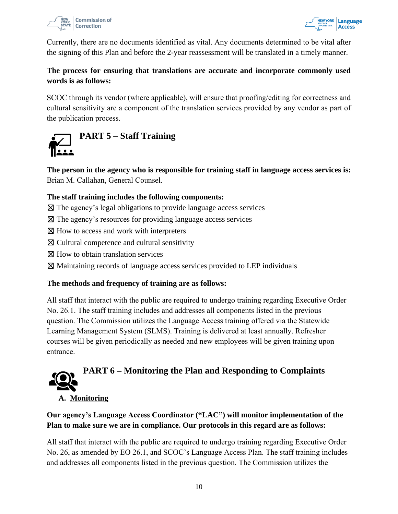



Currently, there are no documents identified as vital. Any documents determined to be vital after the signing of this Plan and before the 2-year reassessment will be translated in a timely manner.

# **The process for ensuring that translations are accurate and incorporate commonly used words is as follows:**

SCOC through its vendor (where applicable), will ensure that proofing/editing for correctness and cultural sensitivity are a component of the translation services provided by any vendor as part of the publication process.

<span id="page-9-0"></span>

**The person in the agency who is responsible for training staff in language access services is:** Brian M. Callahan, General Counsel.

# **The staff training includes the following components:**

- $\boxtimes$  The agency's legal obligations to provide language access services
- ☒ The agency's resources for providing language access services
- ⊠ How to access and work with interpreters
- ☒ Cultural competence and cultural sensitivity
- ⊠ How to obtain translation services
- ☒ Maintaining records of language access services provided to LEP individuals

### **The methods and frequency of training are as follows:**

All staff that interact with the public are required to undergo training regarding Executive Order No. 26.1. The staff training includes and addresses all components listed in the previous question. The Commission utilizes the Language Access training offered via the Statewide Learning Management System (SLMS). Training is delivered at least annually. Refresher courses will be given periodically as needed and new employees will be given training upon entrance.

<span id="page-9-1"></span>

### **A. Monitoring**

# **Our agency's Language Access Coordinator ("LAC") will monitor implementation of the Plan to make sure we are in compliance. Our protocols in this regard are as follows:**

All staff that interact with the public are required to undergo training regarding Executive Order No. 26, as amended by EO 26.1, and SCOC's Language Access Plan. The staff training includes and addresses all components listed in the previous question. The Commission utilizes the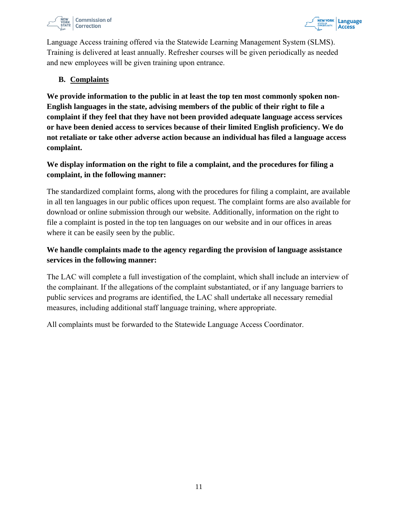



Language Access training offered via the Statewide Learning Management System (SLMS). Training is delivered at least annually. Refresher courses will be given periodically as needed and new employees will be given training upon entrance.

#### **B. Complaints**

**We provide information to the public in at least the top ten most commonly spoken non-English languages in the state, advising members of the public of their right to file a complaint if they feel that they have not been provided adequate language access services or have been denied access to services because of their limited English proficiency. We do not retaliate or take other adverse action because an individual has filed a language access complaint.** 

# **We display information on the right to file a complaint, and the procedures for filing a complaint, in the following manner:**

The standardized complaint forms, along with the procedures for filing a complaint, are available in all ten languages in our public offices upon request. The complaint forms are also available for download or online submission through our website. Additionally, information on the right to file a complaint is posted in the top ten languages on our website and in our offices in areas where it can be easily seen by the public.

# **We handle complaints made to the agency regarding the provision of language assistance services in the following manner:**

The LAC will complete a full investigation of the complaint, which shall include an interview of the complainant. If the allegations of the complaint substantiated, or if any language barriers to public services and programs are identified, the LAC shall undertake all necessary remedial measures, including additional staff language training, where appropriate.

<span id="page-10-0"></span>All complaints must be forwarded to the Statewide Language Access Coordinator.